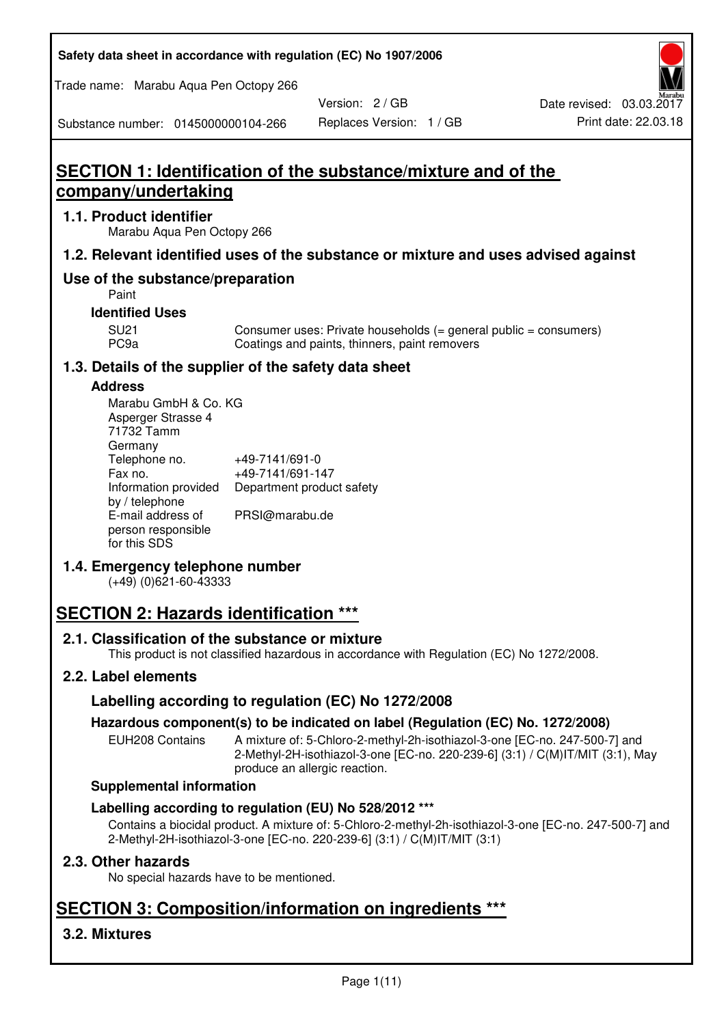| Safety data sheet in accordance with regulation (EC) No 1907/2006 |  |
|-------------------------------------------------------------------|--|
|-------------------------------------------------------------------|--|

Trade name: Marabu Aqua Pen Octopy 266

Version: 2 / GB

Substance number: 0145000000104-266

# **SECTION 1: Identification of the substance/mixture and of the company/undertaking**

## **1.1. Product identifier**

Marabu Aqua Pen Octopy 266

## **1.2. Relevant identified uses of the substance or mixture and uses advised against**

## **Use of the substance/preparation**

Paint

## **Identified Uses**

SU21 Consumer uses: Private households (= general public = consumers)<br>PC9a Coatings and paints, thinners, paint removers Coatings and paints, thinners, paint removers

## **1.3. Details of the supplier of the safety data sheet**

## **Address**

| Marabu GmbH & Co. KG |                           |
|----------------------|---------------------------|
| Asperger Strasse 4   |                           |
| 71732 Tamm           |                           |
| Germany              |                           |
| Telephone no.        | +49-7141/691-0            |
| Fax no.              | +49-7141/691-147          |
| Information provided | Department product safety |
| by / telephone       |                           |
| E-mail address of    | PRSI@marabu.de            |
| person responsible   |                           |
| for this SDS         |                           |

## **1.4. Emergency telephone number**

(+49) (0)621-60-43333

# **SECTION 2: Hazards identification \*\*\***

## **2.1. Classification of the substance or mixture**

This product is not classified hazardous in accordance with Regulation (EC) No 1272/2008.

## **2.2. Label elements**

## **Labelling according to regulation (EC) No 1272/2008**

## **Hazardous component(s) to be indicated on label (Regulation (EC) No. 1272/2008)**

EUH208 Contains A mixture of: 5-Chloro-2-methyl-2h-isothiazol-3-one [EC-no. 247-500-7] and 2-Methyl-2H-isothiazol-3-one [EC-no. 220-239-6] (3:1) / C(M)IT/MIT (3:1), May produce an allergic reaction.

#### **Supplemental information**

## **Labelling according to regulation (EU) No 528/2012 \*\*\***

Contains a biocidal product. A mixture of: 5-Chloro-2-methyl-2h-isothiazol-3-one [EC-no. 247-500-7] and 2-Methyl-2H-isothiazol-3-one [EC-no. 220-239-6] (3:1) / C(M)IT/MIT (3:1)

## **2.3. Other hazards**

No special hazards have to be mentioned.

# **SECTION 3: Composition/information on ingredients \*\*\***

## **3.2. Mixtures**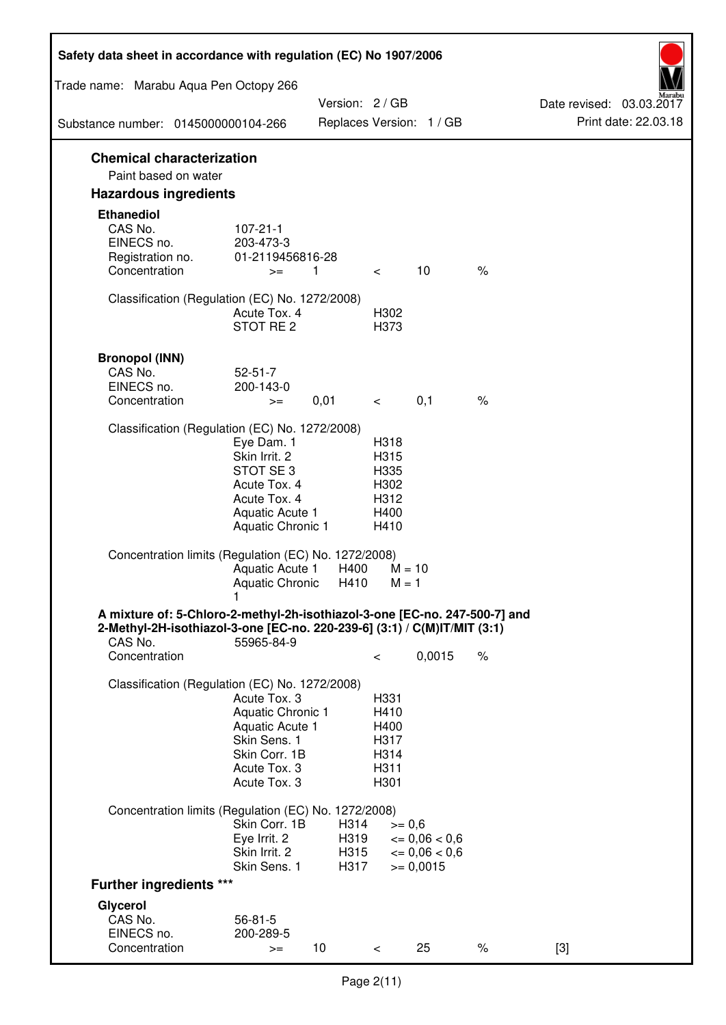| Safety data sheet in accordance with regulation (EC) No 1907/2006                                                                                                 |                                                                                                                       |                              |                                                      |                                                                  |      |                                                  |
|-------------------------------------------------------------------------------------------------------------------------------------------------------------------|-----------------------------------------------------------------------------------------------------------------------|------------------------------|------------------------------------------------------|------------------------------------------------------------------|------|--------------------------------------------------|
| Trade name: Marabu Aqua Pen Octopy 266                                                                                                                            |                                                                                                                       |                              |                                                      |                                                                  |      |                                                  |
|                                                                                                                                                                   |                                                                                                                       | Version: 2 / GB              |                                                      |                                                                  |      | Date revised: 03.03.2017<br>Print date: 22.03.18 |
| Substance number: 0145000000104-266                                                                                                                               |                                                                                                                       |                              |                                                      | Replaces Version: 1 / GB                                         |      |                                                  |
| <b>Chemical characterization</b><br>Paint based on water                                                                                                          |                                                                                                                       |                              |                                                      |                                                                  |      |                                                  |
| <b>Hazardous ingredients</b>                                                                                                                                      |                                                                                                                       |                              |                                                      |                                                                  |      |                                                  |
| <b>Ethanediol</b><br>CAS No.<br>EINECS no.<br>Registration no.<br>Concentration                                                                                   | $107 - 21 - 1$<br>203-473-3<br>01-2119456816-28<br>$>=$                                                               | 1                            | $\lt$ $\sim$                                         | 10                                                               | $\%$ |                                                  |
| Classification (Regulation (EC) No. 1272/2008)                                                                                                                    | Acute Tox. 4<br>STOT RE 2                                                                                             |                              | H302<br>H373                                         |                                                                  |      |                                                  |
| <b>Bronopol (INN)</b><br>CAS No.<br>EINECS no.<br>Concentration                                                                                                   | $52 - 51 - 7$<br>200-143-0<br>$>=$                                                                                    | 0,01                         | $\lt$ $\sim$                                         | 0,1                                                              | $\%$ |                                                  |
| Classification (Regulation (EC) No. 1272/2008)                                                                                                                    |                                                                                                                       |                              |                                                      |                                                                  |      |                                                  |
|                                                                                                                                                                   | Eye Dam. 1<br>Skin Irrit. 2<br>STOT SE3<br>Acute Tox. 4<br>Acute Tox. 4<br>Aquatic Acute 1<br>Aquatic Chronic 1       |                              | H318<br>H315<br>H335<br>H302<br>H312<br>H400<br>H410 |                                                                  |      |                                                  |
| Concentration limits (Regulation (EC) No. 1272/2008)                                                                                                              | Aquatic Acute 1<br>Aquatic Chronic $H410$ M = 1                                                                       | H400                         | $M = 10$                                             |                                                                  |      |                                                  |
| A mixture of: 5-Chloro-2-methyl-2h-isothiazol-3-one [EC-no. 247-500-7] and<br>2-Methyl-2H-isothiazol-3-one [EC-no. 220-239-6] (3:1) / C(M)IT/MIT (3:1)<br>CAS No. | 55965-84-9                                                                                                            |                              |                                                      |                                                                  |      |                                                  |
| Concentration                                                                                                                                                     |                                                                                                                       |                              | $\,<\,$                                              | 0,0015                                                           | $\%$ |                                                  |
| Classification (Regulation (EC) No. 1272/2008)                                                                                                                    | Acute Tox. 3<br>Aquatic Chronic 1<br>Aquatic Acute 1<br>Skin Sens. 1<br>Skin Corr. 1B<br>Acute Tox. 3<br>Acute Tox. 3 |                              | H331<br>H410<br>H400<br>H317<br>H314<br>H311<br>H301 |                                                                  |      |                                                  |
| Concentration limits (Regulation (EC) No. 1272/2008)                                                                                                              |                                                                                                                       |                              |                                                      |                                                                  |      |                                                  |
|                                                                                                                                                                   | Skin Corr. 1B<br>Eye Irrit. 2<br>Skin Irrit. 2<br>Skin Sens. 1                                                        | H314<br>H319<br>H315<br>H317 | $>= 0,6$                                             | $\epsilon = 0.06 < 0.6$<br>$\epsilon = 0.06 < 0.6$<br>$= 0,0015$ |      |                                                  |
| <b>Further ingredients ***</b>                                                                                                                                    |                                                                                                                       |                              |                                                      |                                                                  |      |                                                  |
| Glycerol<br>CAS No.<br>EINECS no.<br>Concentration                                                                                                                | $56 - 81 - 5$<br>200-289-5<br>$>=$                                                                                    | 10 <sup>°</sup>              | $\,<\,$                                              | 25                                                               | $\%$ | $[3]$                                            |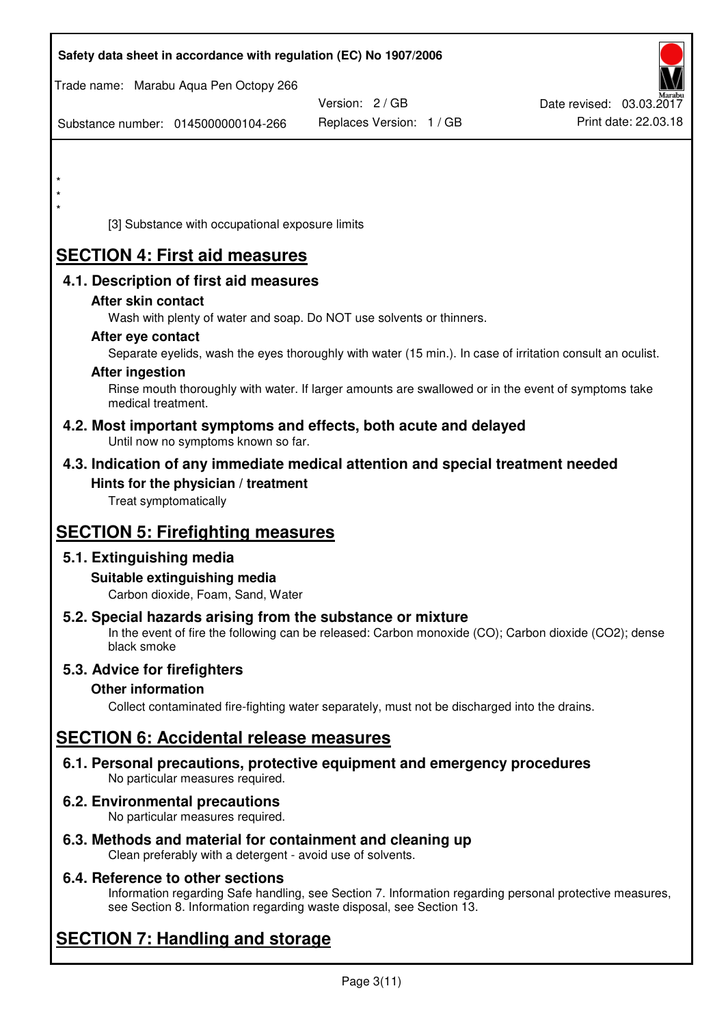| Safety data sheet in accordance with regulation (EC) No 1907/2006                                                                                                   |                          |                          |
|---------------------------------------------------------------------------------------------------------------------------------------------------------------------|--------------------------|--------------------------|
| Trade name: Marabu Aqua Pen Octopy 266                                                                                                                              |                          |                          |
|                                                                                                                                                                     | Version: 2/GB            | Date revised: 03.03.2017 |
| Substance number: 0145000000104-266                                                                                                                                 | Replaces Version: 1 / GB | Print date: 22.03.18     |
|                                                                                                                                                                     |                          |                          |
|                                                                                                                                                                     |                          |                          |
|                                                                                                                                                                     |                          |                          |
| $\star$                                                                                                                                                             |                          |                          |
| [3] Substance with occupational exposure limits                                                                                                                     |                          |                          |
| <b>SECTION 4: First aid measures</b>                                                                                                                                |                          |                          |
| 4.1. Description of first aid measures                                                                                                                              |                          |                          |
| After skin contact                                                                                                                                                  |                          |                          |
| Wash with plenty of water and soap. Do NOT use solvents or thinners.                                                                                                |                          |                          |
| After eye contact                                                                                                                                                   |                          |                          |
| Separate eyelids, wash the eyes thoroughly with water (15 min.). In case of irritation consult an oculist.                                                          |                          |                          |
| <b>After ingestion</b><br>Rinse mouth thoroughly with water. If larger amounts are swallowed or in the event of symptoms take                                       |                          |                          |
| medical treatment.                                                                                                                                                  |                          |                          |
| 4.2. Most important symptoms and effects, both acute and delayed<br>Until now no symptoms known so far.                                                             |                          |                          |
| 4.3. Indication of any immediate medical attention and special treatment needed                                                                                     |                          |                          |
| Hints for the physician / treatment                                                                                                                                 |                          |                          |
| Treat symptomatically                                                                                                                                               |                          |                          |
|                                                                                                                                                                     |                          |                          |
| <b>SECTION 5: Firefighting measures</b>                                                                                                                             |                          |                          |
| 5.1. Extinguishing media                                                                                                                                            |                          |                          |
| Suitable extinguishing media                                                                                                                                        |                          |                          |
| Carbon dioxide, Foam, Sand, Water                                                                                                                                   |                          |                          |
| 5.2. Special hazards arising from the substance or mixture<br>In the event of fire the following can be released: Carbon monoxide (CO); Carbon dioxide (CO2); dense |                          |                          |
| black smoke                                                                                                                                                         |                          |                          |
| 5.3. Advice for firefighters                                                                                                                                        |                          |                          |
| <b>Other information</b>                                                                                                                                            |                          |                          |
| Collect contaminated fire-fighting water separately, must not be discharged into the drains.                                                                        |                          |                          |
| <b>SECTION 6: Accidental release measures</b>                                                                                                                       |                          |                          |
| 6.1. Personal precautions, protective equipment and emergency procedures<br>No particular measures required.                                                        |                          |                          |
| 6.2. Environmental precautions<br>No particular measures required.                                                                                                  |                          |                          |
|                                                                                                                                                                     |                          |                          |

**6.3. Methods and material for containment and cleaning up**  Clean preferably with a detergent - avoid use of solvents.

## **6.4. Reference to other sections**

Information regarding Safe handling, see Section 7. Information regarding personal protective measures, see Section 8. Information regarding waste disposal, see Section 13.

# **SECTION 7: Handling and storage**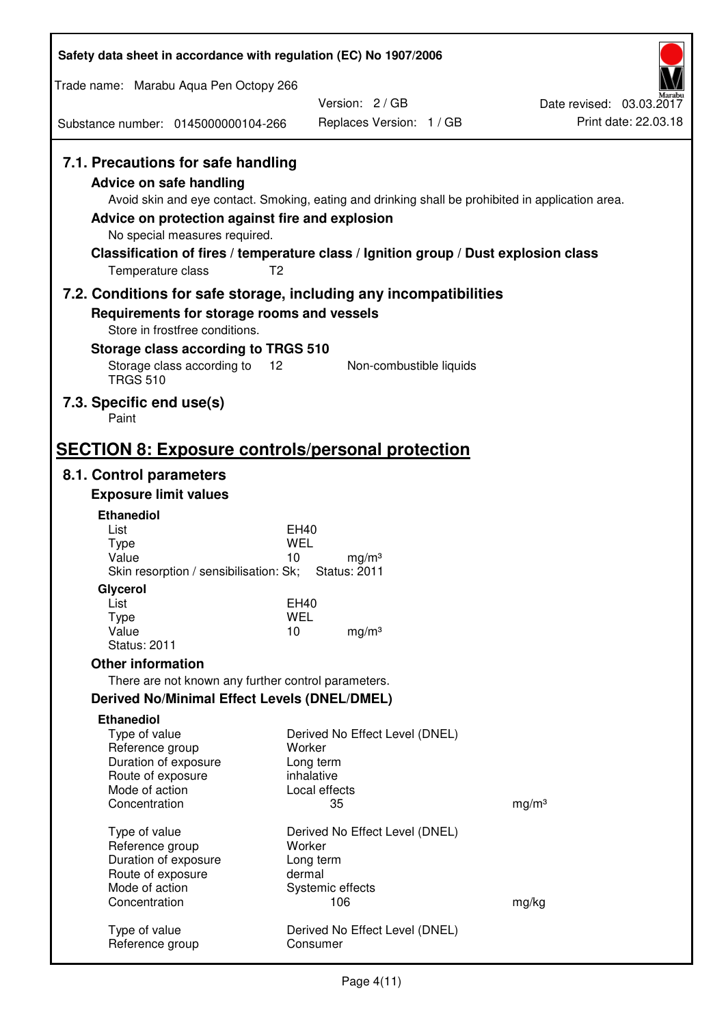| Trade name: Marabu Aqua Pen Octopy 266<br>Version: 2/GB<br>Date revised: 03.03.2017<br>Print date: 22.03.18<br>Replaces Version: 1 / GB<br>Substance number: 0145000000104-266<br>7.1. Precautions for safe handling<br><b>Advice on safe handling</b><br>Avoid skin and eye contact. Smoking, eating and drinking shall be prohibited in application area.<br>Advice on protection against fire and explosion<br>No special measures required.<br>Classification of fires / temperature class / Ignition group / Dust explosion class<br>T <sub>2</sub><br>Temperature class<br>7.2. Conditions for safe storage, including any incompatibilities<br>Requirements for storage rooms and vessels<br>Store in frostfree conditions.<br>Storage class according to TRGS 510<br>Storage class according to<br>12<br>Non-combustible liquids<br><b>TRGS 510</b><br>7.3. Specific end use(s)<br>Paint<br><b>SECTION 8: Exposure controls/personal protection</b><br>8.1. Control parameters<br><b>Exposure limit values</b><br><b>Ethanediol</b><br>List<br>EH40<br>WEL<br><b>Type</b><br>Value<br>10<br>mg/m <sup>3</sup><br>Skin resorption / sensibilisation: Sk;<br><b>Status: 2011</b><br>Glycerol<br>List<br>EH40<br>Type<br><b>WEL</b><br>Value<br>10<br>mg/m <sup>3</sup><br><b>Status: 2011</b><br><b>Other information</b><br>There are not known any further control parameters.<br><b>Derived No/Minimal Effect Levels (DNEL/DMEL)</b><br><b>Ethanediol</b><br>Type of value<br>Derived No Effect Level (DNEL)<br>Reference group<br>Worker<br>Duration of exposure<br>Long term<br>Route of exposure<br>inhalative<br>Mode of action<br>Local effects<br>35<br>mg/m <sup>3</sup><br>Concentration<br>Type of value<br>Derived No Effect Level (DNEL)<br>Worker<br>Reference group<br>Duration of exposure<br>Long term<br>Route of exposure<br>dermal<br>Mode of action<br>Systemic effects<br>Concentration<br>106<br>mg/kg<br>Type of value<br>Derived No Effect Level (DNEL)<br>Reference group<br>Consumer | Safety data sheet in accordance with regulation (EC) No 1907/2006 |  |
|------------------------------------------------------------------------------------------------------------------------------------------------------------------------------------------------------------------------------------------------------------------------------------------------------------------------------------------------------------------------------------------------------------------------------------------------------------------------------------------------------------------------------------------------------------------------------------------------------------------------------------------------------------------------------------------------------------------------------------------------------------------------------------------------------------------------------------------------------------------------------------------------------------------------------------------------------------------------------------------------------------------------------------------------------------------------------------------------------------------------------------------------------------------------------------------------------------------------------------------------------------------------------------------------------------------------------------------------------------------------------------------------------------------------------------------------------------------------------------------------------------------------------------------------------------------------------------------------------------------------------------------------------------------------------------------------------------------------------------------------------------------------------------------------------------------------------------------------------------------------------------------------------------------------------------------------------------------------------------------------------------------------|-------------------------------------------------------------------|--|
|                                                                                                                                                                                                                                                                                                                                                                                                                                                                                                                                                                                                                                                                                                                                                                                                                                                                                                                                                                                                                                                                                                                                                                                                                                                                                                                                                                                                                                                                                                                                                                                                                                                                                                                                                                                                                                                                                                                                                                                                                        |                                                                   |  |
|                                                                                                                                                                                                                                                                                                                                                                                                                                                                                                                                                                                                                                                                                                                                                                                                                                                                                                                                                                                                                                                                                                                                                                                                                                                                                                                                                                                                                                                                                                                                                                                                                                                                                                                                                                                                                                                                                                                                                                                                                        |                                                                   |  |
|                                                                                                                                                                                                                                                                                                                                                                                                                                                                                                                                                                                                                                                                                                                                                                                                                                                                                                                                                                                                                                                                                                                                                                                                                                                                                                                                                                                                                                                                                                                                                                                                                                                                                                                                                                                                                                                                                                                                                                                                                        |                                                                   |  |
|                                                                                                                                                                                                                                                                                                                                                                                                                                                                                                                                                                                                                                                                                                                                                                                                                                                                                                                                                                                                                                                                                                                                                                                                                                                                                                                                                                                                                                                                                                                                                                                                                                                                                                                                                                                                                                                                                                                                                                                                                        |                                                                   |  |
|                                                                                                                                                                                                                                                                                                                                                                                                                                                                                                                                                                                                                                                                                                                                                                                                                                                                                                                                                                                                                                                                                                                                                                                                                                                                                                                                                                                                                                                                                                                                                                                                                                                                                                                                                                                                                                                                                                                                                                                                                        |                                                                   |  |
|                                                                                                                                                                                                                                                                                                                                                                                                                                                                                                                                                                                                                                                                                                                                                                                                                                                                                                                                                                                                                                                                                                                                                                                                                                                                                                                                                                                                                                                                                                                                                                                                                                                                                                                                                                                                                                                                                                                                                                                                                        |                                                                   |  |
|                                                                                                                                                                                                                                                                                                                                                                                                                                                                                                                                                                                                                                                                                                                                                                                                                                                                                                                                                                                                                                                                                                                                                                                                                                                                                                                                                                                                                                                                                                                                                                                                                                                                                                                                                                                                                                                                                                                                                                                                                        |                                                                   |  |
|                                                                                                                                                                                                                                                                                                                                                                                                                                                                                                                                                                                                                                                                                                                                                                                                                                                                                                                                                                                                                                                                                                                                                                                                                                                                                                                                                                                                                                                                                                                                                                                                                                                                                                                                                                                                                                                                                                                                                                                                                        |                                                                   |  |
|                                                                                                                                                                                                                                                                                                                                                                                                                                                                                                                                                                                                                                                                                                                                                                                                                                                                                                                                                                                                                                                                                                                                                                                                                                                                                                                                                                                                                                                                                                                                                                                                                                                                                                                                                                                                                                                                                                                                                                                                                        |                                                                   |  |
|                                                                                                                                                                                                                                                                                                                                                                                                                                                                                                                                                                                                                                                                                                                                                                                                                                                                                                                                                                                                                                                                                                                                                                                                                                                                                                                                                                                                                                                                                                                                                                                                                                                                                                                                                                                                                                                                                                                                                                                                                        |                                                                   |  |
|                                                                                                                                                                                                                                                                                                                                                                                                                                                                                                                                                                                                                                                                                                                                                                                                                                                                                                                                                                                                                                                                                                                                                                                                                                                                                                                                                                                                                                                                                                                                                                                                                                                                                                                                                                                                                                                                                                                                                                                                                        |                                                                   |  |
|                                                                                                                                                                                                                                                                                                                                                                                                                                                                                                                                                                                                                                                                                                                                                                                                                                                                                                                                                                                                                                                                                                                                                                                                                                                                                                                                                                                                                                                                                                                                                                                                                                                                                                                                                                                                                                                                                                                                                                                                                        |                                                                   |  |
|                                                                                                                                                                                                                                                                                                                                                                                                                                                                                                                                                                                                                                                                                                                                                                                                                                                                                                                                                                                                                                                                                                                                                                                                                                                                                                                                                                                                                                                                                                                                                                                                                                                                                                                                                                                                                                                                                                                                                                                                                        |                                                                   |  |
|                                                                                                                                                                                                                                                                                                                                                                                                                                                                                                                                                                                                                                                                                                                                                                                                                                                                                                                                                                                                                                                                                                                                                                                                                                                                                                                                                                                                                                                                                                                                                                                                                                                                                                                                                                                                                                                                                                                                                                                                                        |                                                                   |  |
|                                                                                                                                                                                                                                                                                                                                                                                                                                                                                                                                                                                                                                                                                                                                                                                                                                                                                                                                                                                                                                                                                                                                                                                                                                                                                                                                                                                                                                                                                                                                                                                                                                                                                                                                                                                                                                                                                                                                                                                                                        |                                                                   |  |
|                                                                                                                                                                                                                                                                                                                                                                                                                                                                                                                                                                                                                                                                                                                                                                                                                                                                                                                                                                                                                                                                                                                                                                                                                                                                                                                                                                                                                                                                                                                                                                                                                                                                                                                                                                                                                                                                                                                                                                                                                        |                                                                   |  |
|                                                                                                                                                                                                                                                                                                                                                                                                                                                                                                                                                                                                                                                                                                                                                                                                                                                                                                                                                                                                                                                                                                                                                                                                                                                                                                                                                                                                                                                                                                                                                                                                                                                                                                                                                                                                                                                                                                                                                                                                                        |                                                                   |  |
|                                                                                                                                                                                                                                                                                                                                                                                                                                                                                                                                                                                                                                                                                                                                                                                                                                                                                                                                                                                                                                                                                                                                                                                                                                                                                                                                                                                                                                                                                                                                                                                                                                                                                                                                                                                                                                                                                                                                                                                                                        |                                                                   |  |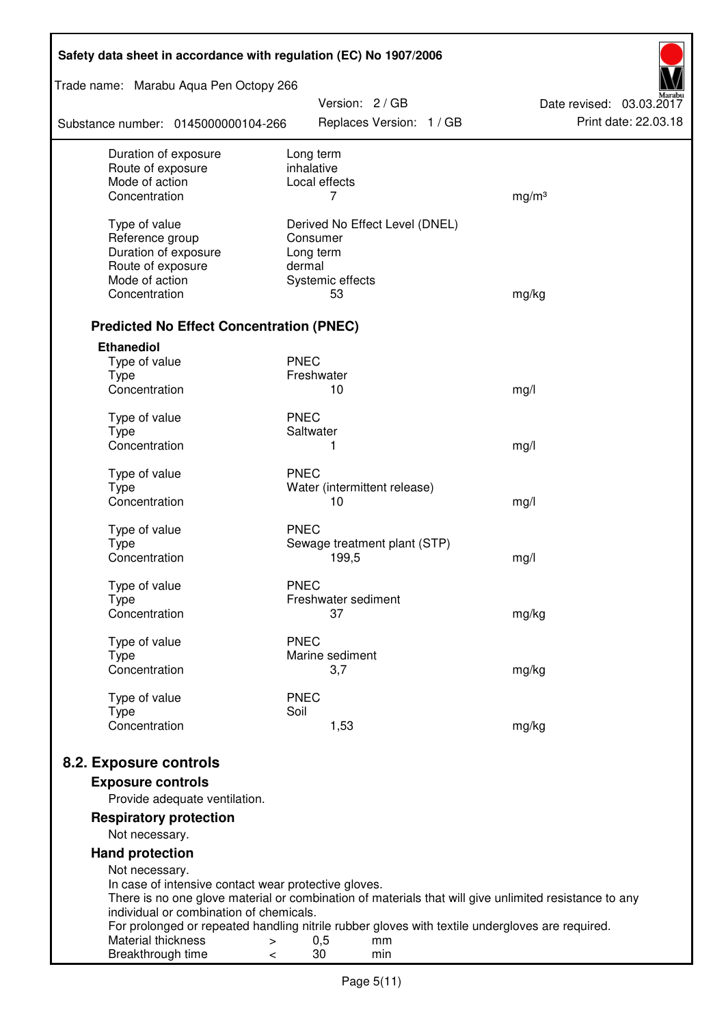| Safety data sheet in accordance with regulation (EC) No 1907/2006 |                                                                                                       |                          |  |  |
|-------------------------------------------------------------------|-------------------------------------------------------------------------------------------------------|--------------------------|--|--|
| Trade name: Marabu Aqua Pen Octopy 266                            | Version: 2 / GB                                                                                       | Date revised: 03.03.2017 |  |  |
| Substance number: 0145000000104-266                               | Replaces Version: 1 / GB                                                                              | Print date: 22.03.18     |  |  |
| Duration of exposure                                              | Long term                                                                                             |                          |  |  |
| Route of exposure<br>Mode of action                               | inhalative<br>Local effects                                                                           |                          |  |  |
| Concentration                                                     | 7                                                                                                     | mg/m <sup>3</sup>        |  |  |
|                                                                   |                                                                                                       |                          |  |  |
| Type of value                                                     | Derived No Effect Level (DNEL)                                                                        |                          |  |  |
| Reference group                                                   | Consumer                                                                                              |                          |  |  |
| Duration of exposure                                              | Long term<br>dermal                                                                                   |                          |  |  |
| Route of exposure<br>Mode of action                               | Systemic effects                                                                                      |                          |  |  |
| Concentration                                                     | 53                                                                                                    | mg/kg                    |  |  |
|                                                                   |                                                                                                       |                          |  |  |
| <b>Predicted No Effect Concentration (PNEC)</b>                   |                                                                                                       |                          |  |  |
| <b>Ethanediol</b>                                                 |                                                                                                       |                          |  |  |
| Type of value                                                     | <b>PNEC</b>                                                                                           |                          |  |  |
| <b>Type</b>                                                       | Freshwater                                                                                            |                          |  |  |
| Concentration                                                     | 10                                                                                                    | mg/l                     |  |  |
| Type of value                                                     | <b>PNEC</b>                                                                                           |                          |  |  |
| <b>Type</b>                                                       | Saltwater                                                                                             |                          |  |  |
| Concentration                                                     | 1                                                                                                     | mg/l                     |  |  |
| Type of value                                                     | <b>PNEC</b>                                                                                           |                          |  |  |
| <b>Type</b>                                                       | Water (intermittent release)                                                                          |                          |  |  |
| Concentration                                                     | 10                                                                                                    | mg/l                     |  |  |
| Type of value                                                     | <b>PNEC</b>                                                                                           |                          |  |  |
| <b>Type</b>                                                       | Sewage treatment plant (STP)                                                                          |                          |  |  |
| Concentration                                                     | 199,5                                                                                                 | mg/l                     |  |  |
| Type of value                                                     | <b>PNEC</b>                                                                                           |                          |  |  |
| Type                                                              | Freshwater sediment                                                                                   |                          |  |  |
| Concentration                                                     | 37                                                                                                    | mg/kg                    |  |  |
| Type of value                                                     | <b>PNEC</b>                                                                                           |                          |  |  |
| <b>Type</b>                                                       | Marine sediment                                                                                       |                          |  |  |
| Concentration                                                     | 3,7                                                                                                   | mg/kg                    |  |  |
|                                                                   |                                                                                                       |                          |  |  |
| Type of value<br><b>Type</b>                                      | <b>PNEC</b><br>Soil                                                                                   |                          |  |  |
| Concentration                                                     | 1,53                                                                                                  | mg/kg                    |  |  |
|                                                                   |                                                                                                       |                          |  |  |
| 8.2. Exposure controls                                            |                                                                                                       |                          |  |  |
| <b>Exposure controls</b>                                          |                                                                                                       |                          |  |  |
| Provide adequate ventilation.                                     |                                                                                                       |                          |  |  |
| <b>Respiratory protection</b>                                     |                                                                                                       |                          |  |  |
| Not necessary.                                                    |                                                                                                       |                          |  |  |
| <b>Hand protection</b>                                            |                                                                                                       |                          |  |  |
| Not necessary.                                                    |                                                                                                       |                          |  |  |
| In case of intensive contact wear protective gloves.              | There is no one glove material or combination of materials that will give unlimited resistance to any |                          |  |  |
| individual or combination of chemicals.                           |                                                                                                       |                          |  |  |
|                                                                   | For prolonged or repeated handling nitrile rubber gloves with textile undergloves are required.       |                          |  |  |
| Material thickness<br>>                                           | 0,5<br>mm                                                                                             |                          |  |  |
| Breakthrough time<br><                                            | 30<br>min                                                                                             |                          |  |  |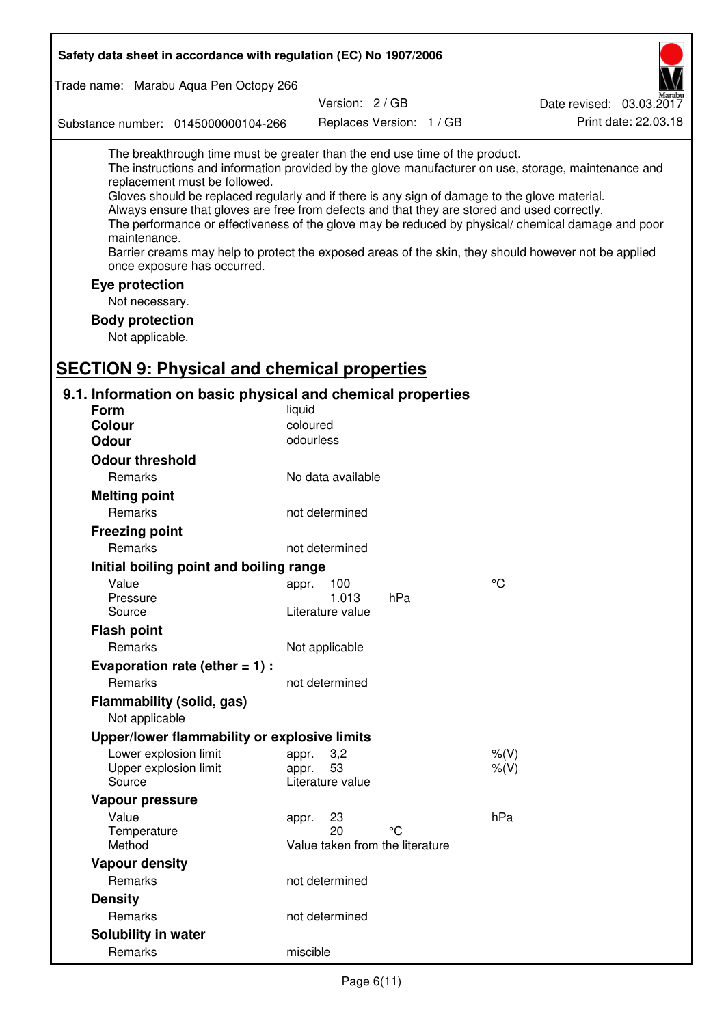| Safety data sheet in accordance with regulation (EC) No 1907/2006                                                                                                                                                                                                                                                                                            |                                 |                          |                                                                                                                                                                                                                                                                                                                    |  |
|--------------------------------------------------------------------------------------------------------------------------------------------------------------------------------------------------------------------------------------------------------------------------------------------------------------------------------------------------------------|---------------------------------|--------------------------|--------------------------------------------------------------------------------------------------------------------------------------------------------------------------------------------------------------------------------------------------------------------------------------------------------------------|--|
| Trade name: Marabu Aqua Pen Octopy 266                                                                                                                                                                                                                                                                                                                       |                                 |                          |                                                                                                                                                                                                                                                                                                                    |  |
|                                                                                                                                                                                                                                                                                                                                                              | Version: 2/GB                   |                          | Date revised: 03.03.2017                                                                                                                                                                                                                                                                                           |  |
| Substance number: 0145000000104-266                                                                                                                                                                                                                                                                                                                          |                                 | Replaces Version: 1 / GB | Print date: 22.03.18                                                                                                                                                                                                                                                                                               |  |
| The breakthrough time must be greater than the end use time of the product.<br>replacement must be followed.<br>Gloves should be replaced regularly and if there is any sign of damage to the glove material.<br>Always ensure that gloves are free from defects and that they are stored and used correctly.<br>maintenance.<br>once exposure has occurred. |                                 |                          | The instructions and information provided by the glove manufacturer on use, storage, maintenance and<br>The performance or effectiveness of the glove may be reduced by physical/ chemical damage and poor<br>Barrier creams may help to protect the exposed areas of the skin, they should however not be applied |  |
| Eye protection                                                                                                                                                                                                                                                                                                                                               |                                 |                          |                                                                                                                                                                                                                                                                                                                    |  |
| Not necessary.                                                                                                                                                                                                                                                                                                                                               |                                 |                          |                                                                                                                                                                                                                                                                                                                    |  |
| <b>Body protection</b>                                                                                                                                                                                                                                                                                                                                       |                                 |                          |                                                                                                                                                                                                                                                                                                                    |  |
| Not applicable.                                                                                                                                                                                                                                                                                                                                              |                                 |                          |                                                                                                                                                                                                                                                                                                                    |  |
| <b>SECTION 9: Physical and chemical properties</b>                                                                                                                                                                                                                                                                                                           |                                 |                          |                                                                                                                                                                                                                                                                                                                    |  |
|                                                                                                                                                                                                                                                                                                                                                              |                                 |                          |                                                                                                                                                                                                                                                                                                                    |  |
| 9.1. Information on basic physical and chemical properties                                                                                                                                                                                                                                                                                                   |                                 |                          |                                                                                                                                                                                                                                                                                                                    |  |
| Form                                                                                                                                                                                                                                                                                                                                                         | liquid<br>coloured              |                          |                                                                                                                                                                                                                                                                                                                    |  |
| <b>Colour</b><br><b>Odour</b>                                                                                                                                                                                                                                                                                                                                | odourless                       |                          |                                                                                                                                                                                                                                                                                                                    |  |
| <b>Odour threshold</b>                                                                                                                                                                                                                                                                                                                                       |                                 |                          |                                                                                                                                                                                                                                                                                                                    |  |
| Remarks                                                                                                                                                                                                                                                                                                                                                      | No data available               |                          |                                                                                                                                                                                                                                                                                                                    |  |
|                                                                                                                                                                                                                                                                                                                                                              |                                 |                          |                                                                                                                                                                                                                                                                                                                    |  |
| <b>Melting point</b><br>Remarks                                                                                                                                                                                                                                                                                                                              | not determined                  |                          |                                                                                                                                                                                                                                                                                                                    |  |
|                                                                                                                                                                                                                                                                                                                                                              |                                 |                          |                                                                                                                                                                                                                                                                                                                    |  |
| <b>Freezing point</b><br>Remarks                                                                                                                                                                                                                                                                                                                             | not determined                  |                          |                                                                                                                                                                                                                                                                                                                    |  |
|                                                                                                                                                                                                                                                                                                                                                              |                                 |                          |                                                                                                                                                                                                                                                                                                                    |  |
| Initial boiling point and boiling range<br>Value                                                                                                                                                                                                                                                                                                             |                                 |                          | $\rm ^{\circ}C$                                                                                                                                                                                                                                                                                                    |  |
| Pressure                                                                                                                                                                                                                                                                                                                                                     | appr. 100<br>1.013              | hPa                      |                                                                                                                                                                                                                                                                                                                    |  |
| Source                                                                                                                                                                                                                                                                                                                                                       | Literature value                |                          |                                                                                                                                                                                                                                                                                                                    |  |
| <b>Flash point</b>                                                                                                                                                                                                                                                                                                                                           |                                 |                          |                                                                                                                                                                                                                                                                                                                    |  |
| Remarks                                                                                                                                                                                                                                                                                                                                                      | Not applicable                  |                          |                                                                                                                                                                                                                                                                                                                    |  |
| Evaporation rate (ether $= 1$ ) :                                                                                                                                                                                                                                                                                                                            |                                 |                          |                                                                                                                                                                                                                                                                                                                    |  |
| Remarks                                                                                                                                                                                                                                                                                                                                                      | not determined                  |                          |                                                                                                                                                                                                                                                                                                                    |  |
| Flammability (solid, gas)                                                                                                                                                                                                                                                                                                                                    |                                 |                          |                                                                                                                                                                                                                                                                                                                    |  |
| Not applicable                                                                                                                                                                                                                                                                                                                                               |                                 |                          |                                                                                                                                                                                                                                                                                                                    |  |
| Upper/lower flammability or explosive limits                                                                                                                                                                                                                                                                                                                 |                                 |                          |                                                                                                                                                                                                                                                                                                                    |  |
| Lower explosion limit                                                                                                                                                                                                                                                                                                                                        | 3,2<br>appr.                    |                          | $%$ (V)                                                                                                                                                                                                                                                                                                            |  |
| Upper explosion limit                                                                                                                                                                                                                                                                                                                                        | 53<br>appr.                     |                          | $%$ $(V)$                                                                                                                                                                                                                                                                                                          |  |
| Source                                                                                                                                                                                                                                                                                                                                                       | Literature value                |                          |                                                                                                                                                                                                                                                                                                                    |  |
| Vapour pressure                                                                                                                                                                                                                                                                                                                                              |                                 |                          |                                                                                                                                                                                                                                                                                                                    |  |
| Value<br>Temperature                                                                                                                                                                                                                                                                                                                                         | 23<br>appr.<br>20               | °C                       | hPa                                                                                                                                                                                                                                                                                                                |  |
| Method                                                                                                                                                                                                                                                                                                                                                       | Value taken from the literature |                          |                                                                                                                                                                                                                                                                                                                    |  |
| <b>Vapour density</b>                                                                                                                                                                                                                                                                                                                                        |                                 |                          |                                                                                                                                                                                                                                                                                                                    |  |
| Remarks                                                                                                                                                                                                                                                                                                                                                      | not determined                  |                          |                                                                                                                                                                                                                                                                                                                    |  |
| <b>Density</b>                                                                                                                                                                                                                                                                                                                                               |                                 |                          |                                                                                                                                                                                                                                                                                                                    |  |
| Remarks                                                                                                                                                                                                                                                                                                                                                      | not determined                  |                          |                                                                                                                                                                                                                                                                                                                    |  |
| Solubility in water                                                                                                                                                                                                                                                                                                                                          |                                 |                          |                                                                                                                                                                                                                                                                                                                    |  |
| Remarks                                                                                                                                                                                                                                                                                                                                                      | miscible                        |                          |                                                                                                                                                                                                                                                                                                                    |  |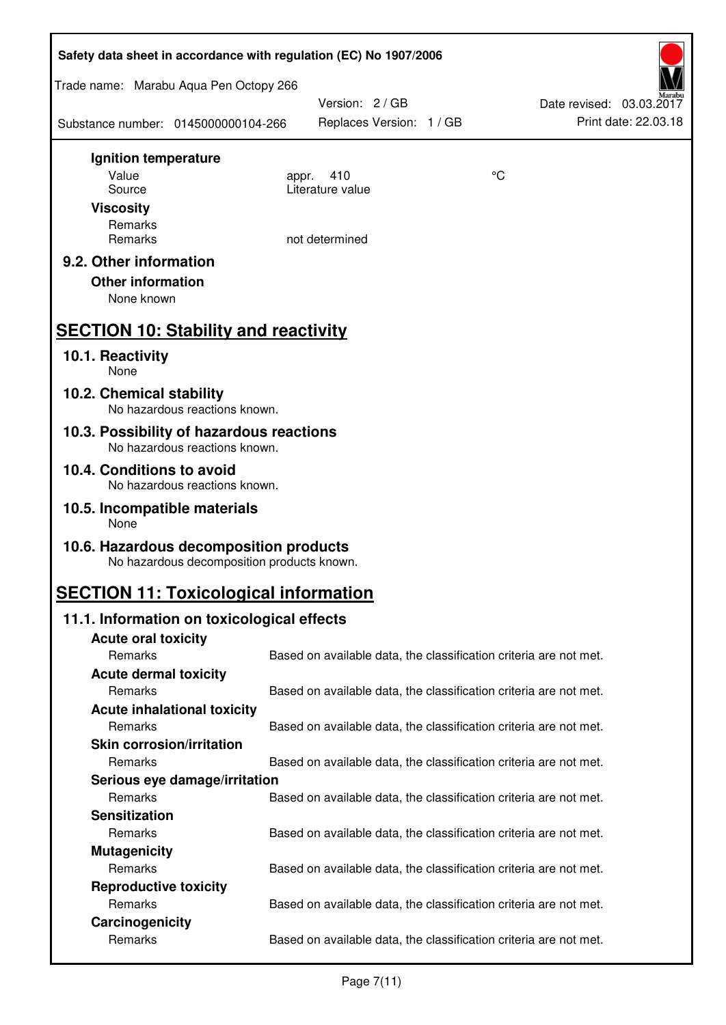| Safety data sheet in accordance with regulation (EC) No 1907/2006                    |                                                                   |    |                                                  |  |
|--------------------------------------------------------------------------------------|-------------------------------------------------------------------|----|--------------------------------------------------|--|
| Trade name: Marabu Aqua Pen Octopy 266                                               |                                                                   |    |                                                  |  |
| Substance number: 0145000000104-266                                                  | Version: 2 / GB<br>Replaces Version: 1 / GB                       |    | Date revised: 03.03.2017<br>Print date: 22.03.18 |  |
| Ignition temperature                                                                 |                                                                   |    |                                                  |  |
| Value                                                                                | 410<br>appr.<br>Literature value                                  | °C |                                                  |  |
| Source<br><b>Viscosity</b>                                                           |                                                                   |    |                                                  |  |
| Remarks                                                                              |                                                                   |    |                                                  |  |
| Remarks                                                                              | not determined                                                    |    |                                                  |  |
| 9.2. Other information<br><b>Other information</b><br>None known                     |                                                                   |    |                                                  |  |
| <b>SECTION 10: Stability and reactivity</b>                                          |                                                                   |    |                                                  |  |
| 10.1. Reactivity<br>None                                                             |                                                                   |    |                                                  |  |
| 10.2. Chemical stability<br>No hazardous reactions known.                            |                                                                   |    |                                                  |  |
| 10.3. Possibility of hazardous reactions<br>No hazardous reactions known.            |                                                                   |    |                                                  |  |
| 10.4. Conditions to avoid<br>No hazardous reactions known.                           |                                                                   |    |                                                  |  |
| 10.5. Incompatible materials<br>None                                                 |                                                                   |    |                                                  |  |
| 10.6. Hazardous decomposition products<br>No hazardous decomposition products known. |                                                                   |    |                                                  |  |
| <b>SECTION 11: Toxicological information</b>                                         |                                                                   |    |                                                  |  |
| 11.1. Information on toxicological effects                                           |                                                                   |    |                                                  |  |
| <b>Acute oral toxicity</b>                                                           |                                                                   |    |                                                  |  |
| Remarks                                                                              | Based on available data, the classification criteria are not met. |    |                                                  |  |
| <b>Acute dermal toxicity</b>                                                         |                                                                   |    |                                                  |  |
| Remarks<br><b>Acute inhalational toxicity</b>                                        | Based on available data, the classification criteria are not met. |    |                                                  |  |
| Remarks                                                                              | Based on available data, the classification criteria are not met. |    |                                                  |  |
| <b>Skin corrosion/irritation</b>                                                     |                                                                   |    |                                                  |  |
| Remarks                                                                              | Based on available data, the classification criteria are not met. |    |                                                  |  |
| Serious eye damage/irritation                                                        |                                                                   |    |                                                  |  |
| Remarks                                                                              | Based on available data, the classification criteria are not met. |    |                                                  |  |
| <b>Sensitization</b>                                                                 |                                                                   |    |                                                  |  |
| Remarks                                                                              | Based on available data, the classification criteria are not met. |    |                                                  |  |
| <b>Mutagenicity</b>                                                                  |                                                                   |    |                                                  |  |
| Remarks                                                                              | Based on available data, the classification criteria are not met. |    |                                                  |  |
| <b>Reproductive toxicity</b><br>Remarks                                              | Based on available data, the classification criteria are not met. |    |                                                  |  |
| Carcinogenicity                                                                      |                                                                   |    |                                                  |  |
| Remarks                                                                              | Based on available data, the classification criteria are not met. |    |                                                  |  |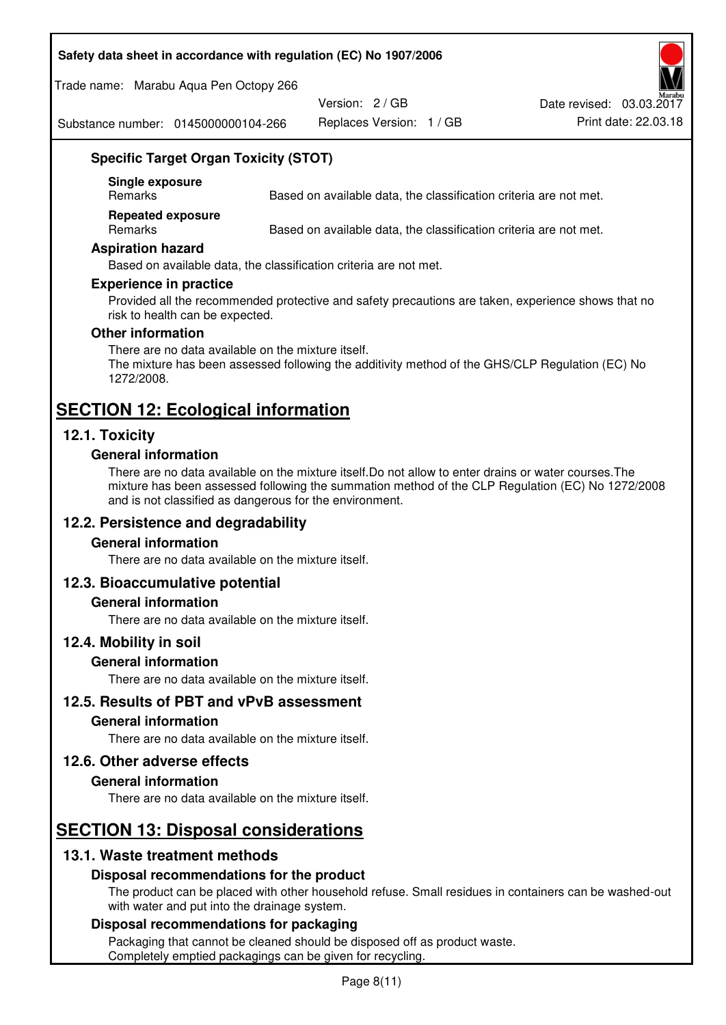#### **Safety data sheet in accordance with regulation (EC) No 1907/2006**

Trade name: Marabu Aqua Pen Octopy 266

Version: 2 / GB

Replaces Version: 1 / GB Print date: 22.03.18 Date revised: 03.03.2017

Substance number: 0145000000104-266

## **Specific Target Organ Toxicity (STOT)**

**Single exposure** 

Based on available data, the classification criteria are not met.

**Repeated exposure** 

Remarks Based on available data, the classification criteria are not met.

#### **Aspiration hazard**

Based on available data, the classification criteria are not met.

#### **Experience in practice**

Provided all the recommended protective and safety precautions are taken, experience shows that no risk to health can be expected.

#### **Other information**

There are no data available on the mixture itself. The mixture has been assessed following the additivity method of the GHS/CLP Regulation (EC) No 1272/2008.

## **SECTION 12: Ecological information**

## **12.1. Toxicity**

#### **General information**

There are no data available on the mixture itself.Do not allow to enter drains or water courses.The mixture has been assessed following the summation method of the CLP Regulation (EC) No 1272/2008 and is not classified as dangerous for the environment.

## **12.2. Persistence and degradability**

#### **General information**

There are no data available on the mixture itself.

#### **12.3. Bioaccumulative potential**

#### **General information**

There are no data available on the mixture itself.

#### **12.4. Mobility in soil**

#### **General information**

There are no data available on the mixture itself.

**12.5. Results of PBT and vPvB assessment** 

## **General information**

There are no data available on the mixture itself.

#### **12.6. Other adverse effects**

#### **General information**

There are no data available on the mixture itself.

# **SECTION 13: Disposal considerations**

## **13.1. Waste treatment methods**

#### **Disposal recommendations for the product**

The product can be placed with other household refuse. Small residues in containers can be washed-out with water and put into the drainage system.

#### **Disposal recommendations for packaging**

Packaging that cannot be cleaned should be disposed off as product waste. Completely emptied packagings can be given for recycling.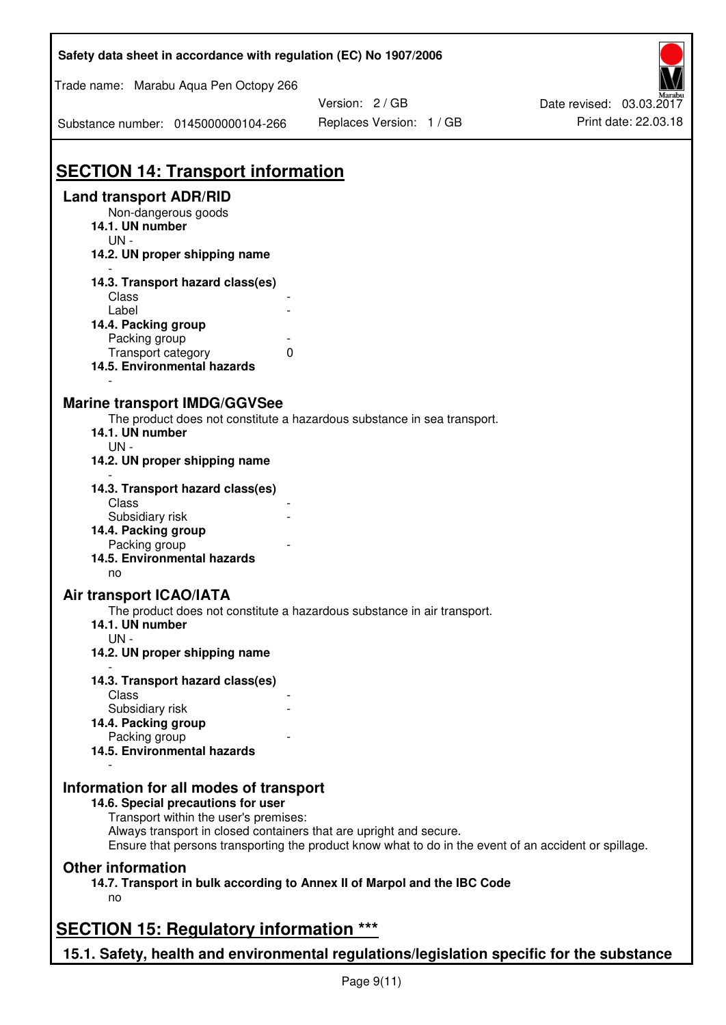| Safety data sheet in accordance with regulation (EC) No 1907/2006                                                                                                           |                          |                          |
|-----------------------------------------------------------------------------------------------------------------------------------------------------------------------------|--------------------------|--------------------------|
| Trade name: Marabu Aqua Pen Octopy 266                                                                                                                                      | Version: 2 / GB          | Date revised: 03.03.2017 |
| Substance number: 0145000000104-266                                                                                                                                         | Replaces Version: 1 / GB | Print date: 22.03.18     |
| <b>SECTION 14: Transport information</b>                                                                                                                                    |                          |                          |
| <b>Land transport ADR/RID</b>                                                                                                                                               |                          |                          |
| Non-dangerous goods<br>14.1. UN number<br>$UN -$                                                                                                                            |                          |                          |
| 14.2. UN proper shipping name                                                                                                                                               |                          |                          |
| 14.3. Transport hazard class(es)<br>Class                                                                                                                                   |                          |                          |
| Label                                                                                                                                                                       |                          |                          |
| 14.4. Packing group<br>Packing group                                                                                                                                        |                          |                          |
| $\mathbf{0}$<br>Transport category<br>14.5. Environmental hazards                                                                                                           |                          |                          |
| <b>Marine transport IMDG/GGVSee</b><br>The product does not constitute a hazardous substance in sea transport.<br>14.1. UN number                                           |                          |                          |
| $UN -$<br>14.2. UN proper shipping name                                                                                                                                     |                          |                          |
| 14.3. Transport hazard class(es)<br>Class                                                                                                                                   |                          |                          |
| Subsidiary risk<br>14.4. Packing group                                                                                                                                      |                          |                          |
| Packing group                                                                                                                                                               |                          |                          |
| 14.5. Environmental hazards<br>no                                                                                                                                           |                          |                          |
| <b>Air transport ICAO/IATA</b><br>The product does not constitute a hazardous substance in air transport.                                                                   |                          |                          |
| 14.1. UN number<br>$UN -$                                                                                                                                                   |                          |                          |
| 14.2. UN proper shipping name                                                                                                                                               |                          |                          |
| 14.3. Transport hazard class(es)                                                                                                                                            |                          |                          |
| Class<br>Subsidiary risk                                                                                                                                                    |                          |                          |
| 14.4. Packing group                                                                                                                                                         |                          |                          |
| Packing group<br>14.5. Environmental hazards                                                                                                                                |                          |                          |
| Information for all modes of transport<br>14.6. Special precautions for user                                                                                                |                          |                          |
| Transport within the user's premises:                                                                                                                                       |                          |                          |
| Always transport in closed containers that are upright and secure.<br>Ensure that persons transporting the product know what to do in the event of an accident or spillage. |                          |                          |
| <b>Other information</b>                                                                                                                                                    |                          |                          |
| 14.7. Transport in bulk according to Annex II of Marpol and the IBC Code<br>no                                                                                              |                          |                          |
| <b>SECTION 15: Regulatory information ***</b>                                                                                                                               |                          |                          |
| 15.1. Safety, health and environmental regulations/legislation specific for the substance                                                                                   |                          |                          |

Г

٦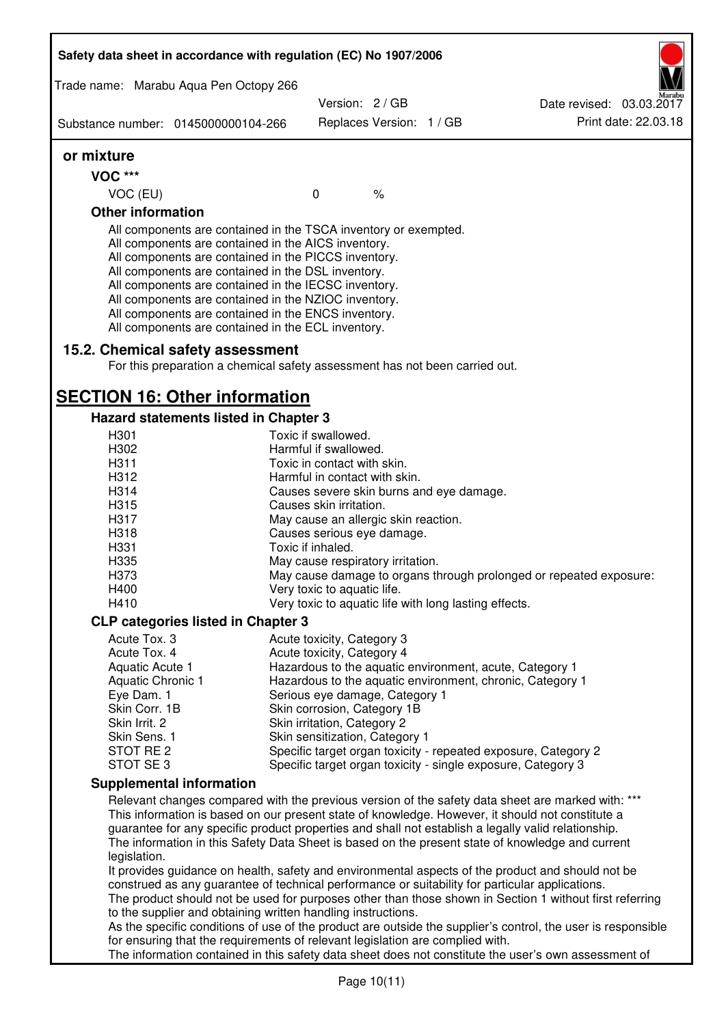| Safety data sheet in accordance with regulation (EC) No 1907/2006 |                                                                                                                                                                                                                                                                                                                                                                                                                                                                   |                                                       |                          |                                                                                                                                                                                                                                                                                                                 |
|-------------------------------------------------------------------|-------------------------------------------------------------------------------------------------------------------------------------------------------------------------------------------------------------------------------------------------------------------------------------------------------------------------------------------------------------------------------------------------------------------------------------------------------------------|-------------------------------------------------------|--------------------------|-----------------------------------------------------------------------------------------------------------------------------------------------------------------------------------------------------------------------------------------------------------------------------------------------------------------|
| Trade name: Marabu Aqua Pen Octopy 266                            |                                                                                                                                                                                                                                                                                                                                                                                                                                                                   | Version: 2 / GB                                       |                          |                                                                                                                                                                                                                                                                                                                 |
|                                                                   |                                                                                                                                                                                                                                                                                                                                                                                                                                                                   |                                                       |                          | Date revised: 03.03.2017<br>Print date: 22.03.18                                                                                                                                                                                                                                                                |
| Substance number: 0145000000104-266                               |                                                                                                                                                                                                                                                                                                                                                                                                                                                                   |                                                       | Replaces Version: 1 / GB |                                                                                                                                                                                                                                                                                                                 |
| or mixture                                                        |                                                                                                                                                                                                                                                                                                                                                                                                                                                                   |                                                       |                          |                                                                                                                                                                                                                                                                                                                 |
| <b>VOC ***</b>                                                    |                                                                                                                                                                                                                                                                                                                                                                                                                                                                   |                                                       |                          |                                                                                                                                                                                                                                                                                                                 |
| VOC (EU)                                                          |                                                                                                                                                                                                                                                                                                                                                                                                                                                                   | $\mathbf 0$                                           | $\%$                     |                                                                                                                                                                                                                                                                                                                 |
| <b>Other information</b>                                          |                                                                                                                                                                                                                                                                                                                                                                                                                                                                   |                                                       |                          |                                                                                                                                                                                                                                                                                                                 |
|                                                                   | All components are contained in the TSCA inventory or exempted.<br>All components are contained in the AICS inventory.<br>All components are contained in the PICCS inventory.<br>All components are contained in the DSL inventory.<br>All components are contained in the IECSC inventory.<br>All components are contained in the NZIOC inventory.<br>All components are contained in the ENCS inventory.<br>All components are contained in the ECL inventory. |                                                       |                          |                                                                                                                                                                                                                                                                                                                 |
| 15.2. Chemical safety assessment                                  | For this preparation a chemical safety assessment has not been carried out.                                                                                                                                                                                                                                                                                                                                                                                       |                                                       |                          |                                                                                                                                                                                                                                                                                                                 |
| <b>SECTION 16: Other information</b>                              |                                                                                                                                                                                                                                                                                                                                                                                                                                                                   |                                                       |                          |                                                                                                                                                                                                                                                                                                                 |
|                                                                   | Hazard statements listed in Chapter 3                                                                                                                                                                                                                                                                                                                                                                                                                             |                                                       |                          |                                                                                                                                                                                                                                                                                                                 |
| H <sub>301</sub>                                                  |                                                                                                                                                                                                                                                                                                                                                                                                                                                                   | Toxic if swallowed.                                   |                          |                                                                                                                                                                                                                                                                                                                 |
| H302                                                              |                                                                                                                                                                                                                                                                                                                                                                                                                                                                   | Harmful if swallowed.                                 |                          |                                                                                                                                                                                                                                                                                                                 |
| H311                                                              |                                                                                                                                                                                                                                                                                                                                                                                                                                                                   | Toxic in contact with skin.                           |                          |                                                                                                                                                                                                                                                                                                                 |
| H312                                                              |                                                                                                                                                                                                                                                                                                                                                                                                                                                                   | Harmful in contact with skin.                         |                          |                                                                                                                                                                                                                                                                                                                 |
| H314                                                              |                                                                                                                                                                                                                                                                                                                                                                                                                                                                   | Causes severe skin burns and eye damage.              |                          |                                                                                                                                                                                                                                                                                                                 |
| H315<br>H317                                                      |                                                                                                                                                                                                                                                                                                                                                                                                                                                                   | Causes skin irritation.                               |                          |                                                                                                                                                                                                                                                                                                                 |
| H318                                                              |                                                                                                                                                                                                                                                                                                                                                                                                                                                                   | May cause an allergic skin reaction.                  |                          |                                                                                                                                                                                                                                                                                                                 |
| H331                                                              |                                                                                                                                                                                                                                                                                                                                                                                                                                                                   | Causes serious eye damage.<br>Toxic if inhaled.       |                          |                                                                                                                                                                                                                                                                                                                 |
| H335                                                              |                                                                                                                                                                                                                                                                                                                                                                                                                                                                   | May cause respiratory irritation.                     |                          |                                                                                                                                                                                                                                                                                                                 |
| H373                                                              |                                                                                                                                                                                                                                                                                                                                                                                                                                                                   |                                                       |                          | May cause damage to organs through prolonged or repeated exposure:                                                                                                                                                                                                                                              |
| H400                                                              |                                                                                                                                                                                                                                                                                                                                                                                                                                                                   | Very toxic to aquatic life.                           |                          |                                                                                                                                                                                                                                                                                                                 |
| H410                                                              |                                                                                                                                                                                                                                                                                                                                                                                                                                                                   | Very toxic to aquatic life with long lasting effects. |                          |                                                                                                                                                                                                                                                                                                                 |
|                                                                   | <b>CLP categories listed in Chapter 3</b>                                                                                                                                                                                                                                                                                                                                                                                                                         |                                                       |                          |                                                                                                                                                                                                                                                                                                                 |
| Acute Tox. 3                                                      |                                                                                                                                                                                                                                                                                                                                                                                                                                                                   | Acute toxicity, Category 3                            |                          |                                                                                                                                                                                                                                                                                                                 |
| Acute Tox. 4                                                      |                                                                                                                                                                                                                                                                                                                                                                                                                                                                   | Acute toxicity, Category 4                            |                          |                                                                                                                                                                                                                                                                                                                 |
| Aquatic Acute 1                                                   |                                                                                                                                                                                                                                                                                                                                                                                                                                                                   |                                                       |                          | Hazardous to the aquatic environment, acute, Category 1                                                                                                                                                                                                                                                         |
| Aquatic Chronic 1                                                 |                                                                                                                                                                                                                                                                                                                                                                                                                                                                   |                                                       |                          | Hazardous to the aquatic environment, chronic, Category 1                                                                                                                                                                                                                                                       |
| Eye Dam. 1                                                        |                                                                                                                                                                                                                                                                                                                                                                                                                                                                   | Serious eye damage, Category 1                        |                          |                                                                                                                                                                                                                                                                                                                 |
| Skin Corr. 1B                                                     |                                                                                                                                                                                                                                                                                                                                                                                                                                                                   | Skin corrosion, Category 1B                           |                          |                                                                                                                                                                                                                                                                                                                 |
| Skin Irrit. 2                                                     |                                                                                                                                                                                                                                                                                                                                                                                                                                                                   | Skin irritation, Category 2                           |                          |                                                                                                                                                                                                                                                                                                                 |
| Skin Sens. 1                                                      |                                                                                                                                                                                                                                                                                                                                                                                                                                                                   | Skin sensitization, Category 1                        |                          |                                                                                                                                                                                                                                                                                                                 |
| STOT RE 2<br>STOT SE 3                                            |                                                                                                                                                                                                                                                                                                                                                                                                                                                                   |                                                       |                          | Specific target organ toxicity - repeated exposure, Category 2<br>Specific target organ toxicity - single exposure, Category 3                                                                                                                                                                                  |
| <b>Supplemental information</b>                                   |                                                                                                                                                                                                                                                                                                                                                                                                                                                                   |                                                       |                          |                                                                                                                                                                                                                                                                                                                 |
|                                                                   |                                                                                                                                                                                                                                                                                                                                                                                                                                                                   |                                                       |                          | Relevant changes compared with the previous version of the safety data sheet are marked with: ***                                                                                                                                                                                                               |
| legislation.                                                      |                                                                                                                                                                                                                                                                                                                                                                                                                                                                   |                                                       |                          | This information is based on our present state of knowledge. However, it should not constitute a<br>guarantee for any specific product properties and shall not establish a legally valid relationship.<br>The information in this Safety Data Sheet is based on the present state of knowledge and current     |
|                                                                   |                                                                                                                                                                                                                                                                                                                                                                                                                                                                   |                                                       |                          | It provides guidance on health, safety and environmental aspects of the product and should not be<br>construed as any guarantee of technical performance or suitability for particular applications.<br>The product should not be used for purposes other than those shown in Section 1 without first referring |
|                                                                   | to the supplier and obtaining written handling instructions.                                                                                                                                                                                                                                                                                                                                                                                                      |                                                       |                          | As the specific conditions of use of the product are outside the supplier's control, the user is responsible                                                                                                                                                                                                    |
|                                                                   | for ensuring that the requirements of relevant legislation are complied with.                                                                                                                                                                                                                                                                                                                                                                                     |                                                       |                          | The information contained in this safety data sheet does not constitute the user's own assessment of                                                                                                                                                                                                            |